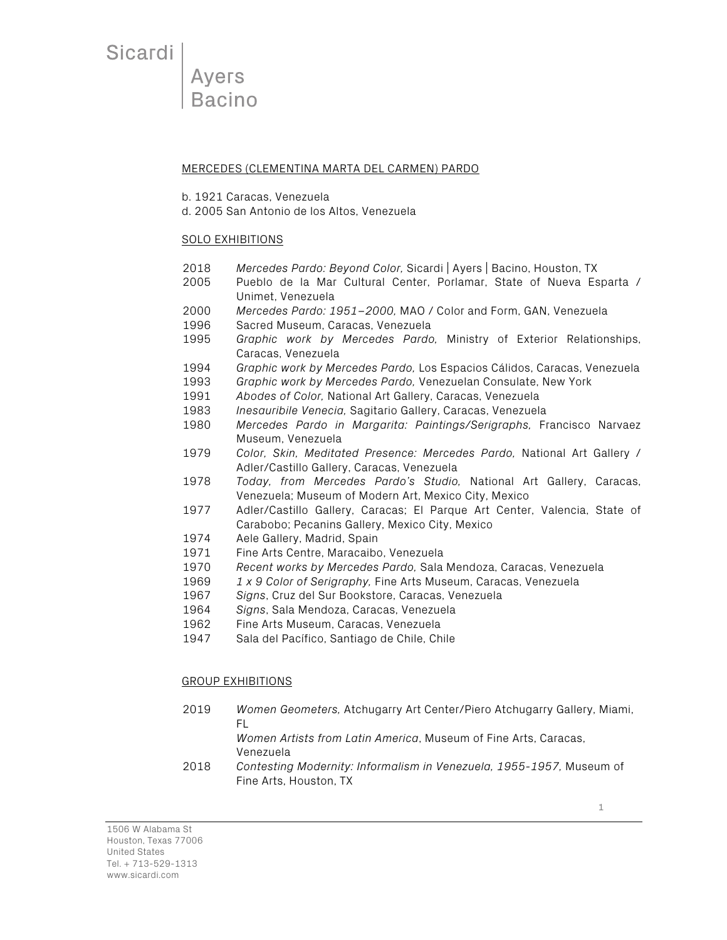Sicardi

**Ayers Bacino** 

#### MERCEDES (CLEMENTINA MARTA DEL CARMEN) PARDO

- b. 1921 Caracas, Venezuela
- d. 2005 San Antonio de los Altos, Venezuela

### SOLO EXHIBITIONS

- 2018 *Mercedes Pardo: Beyond Color,* Sicardi | Ayers | Bacino, Houston, TX
- 2005 Pueblo de la Mar Cultural Center, Porlamar, State of Nueva Esparta / Unimet, Venezuela
- 2000 *Mercedes Pardo: 1951–2000,* MAO / Color and Form, GAN, Venezuela
- 1996 Sacred Museum, Caracas, Venezuela
- 1995 *Graphic work by Mercedes Pardo,* Ministry of Exterior Relationships, Caracas, Venezuela
- 1994 *Graphic work by Mercedes Pardo,* Los Espacios Cálidos, Caracas, Venezuela
- 1993 *Graphic work by Mercedes Pardo,* Venezuelan Consulate, New York
- 1991 *Abodes of Color,* National Art Gallery, Caracas, Venezuela
- 1983 *Inesauribile Venecia,* Sagitario Gallery, Caracas, Venezuela
- 1980 *Mercedes Pardo in Margarita: Paintings/Serigraphs,* Francisco Narvaez Museum, Venezuela
- 1979 *Color, Skin, Meditated Presence: Mercedes Pardo,* National Art Gallery / Adler/Castillo Gallery, Caracas, Venezuela
- 1978 *Today, from Mercedes Pardo's Studio,* National Art Gallery, Caracas, Venezuela; Museum of Modern Art, Mexico City, Mexico
- 1977 Adler/Castillo Gallery, Caracas; El Parque Art Center, Valencia, State of Carabobo; Pecanins Gallery, Mexico City, Mexico
- 1974 Aele Gallery, Madrid, Spain
- 1971 Fine Arts Centre, Maracaibo, Venezuela
- 1970 *Recent works by Mercedes Pardo,* Sala Mendoza, Caracas, Venezuela
- 1969 *1 x 9 Color of Serigraphy,* Fine Arts Museum, Caracas, Venezuela
- 1967 *Signs*, Cruz del Sur Bookstore, Caracas, Venezuela
- 1964 *Signs*, Sala Mendoza, Caracas, Venezuela
- 1962 Fine Arts Museum, Caracas, Venezuela
- 1947 Sala del Pacífico, Santiago de Chile, Chile

### GROUP EXHIBITIONS

2019 *Women Geometers,* Atchugarry Art Center/Piero Atchugarry Gallery, Miami, FL

*Women Artists from Latin America*, Museum of Fine Arts, Caracas, Venezuela

2018 *Contesting Modernity: Informalism in Venezuela, 1955-1957,* Museum of Fine Arts, Houston, TX